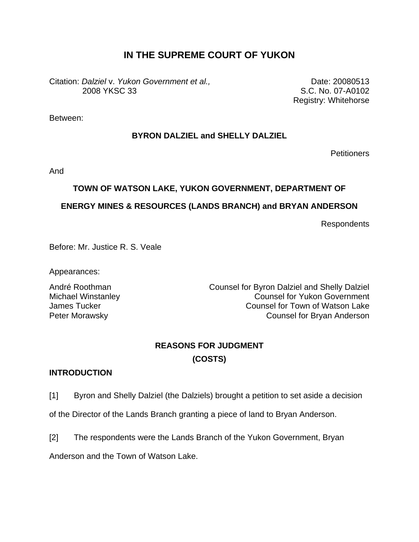# **IN THE SUPREME COURT OF YUKON**

Citation: *Dalziel* v. *Yukon Government et al.,*  2008 YKSC 33

Date: 20080513 S.C. No. 07-A0102 Registry: Whitehorse

Between:

## **BYRON DALZIEL and SHELLY DALZIEL**

**Petitioners** 

And

## **TOWN OF WATSON LAKE, YUKON GOVERNMENT, DEPARTMENT OF**

## **ENERGY MINES & RESOURCES (LANDS BRANCH) and BRYAN ANDERSON**

Respondents

Before: Mr. Justice R. S. Veale

Appearances:

André Roothman Counsel for Byron Dalziel and Shelly Dalziel Michael Winstanley Counsel for Yukon Government James Tucker Counsel for Town of Watson Lake Peter Morawsky **Counsel for Bryan Anderson** 

# **REASONS FOR JUDGMENT (COSTS)**

## **INTRODUCTION**

[1] Byron and Shelly Dalziel (the Dalziels) brought a petition to set aside a decision

of the Director of the Lands Branch granting a piece of land to Bryan Anderson.

[2] The respondents were the Lands Branch of the Yukon Government, Bryan

Anderson and the Town of Watson Lake.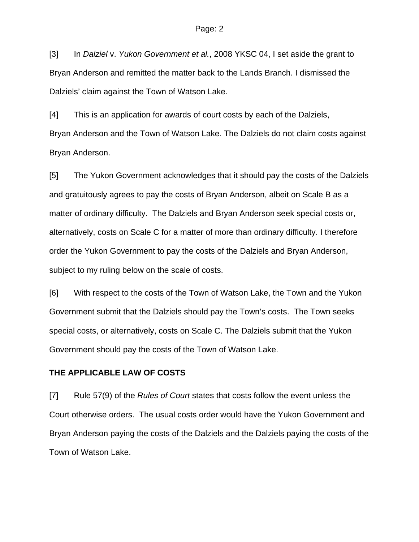[3] In *Dalziel* v. *Yukon Government et al.*, 2008 YKSC 04, I set aside the grant to Bryan Anderson and remitted the matter back to the Lands Branch. I dismissed the Dalziels' claim against the Town of Watson Lake.

[4] This is an application for awards of court costs by each of the Dalziels, Bryan Anderson and the Town of Watson Lake. The Dalziels do not claim costs against Bryan Anderson.

[5] The Yukon Government acknowledges that it should pay the costs of the Dalziels and gratuitously agrees to pay the costs of Bryan Anderson, albeit on Scale B as a matter of ordinary difficulty. The Dalziels and Bryan Anderson seek special costs or, alternatively, costs on Scale C for a matter of more than ordinary difficulty. I therefore order the Yukon Government to pay the costs of the Dalziels and Bryan Anderson, subject to my ruling below on the scale of costs.

[6] With respect to the costs of the Town of Watson Lake, the Town and the Yukon Government submit that the Dalziels should pay the Town's costs. The Town seeks special costs, or alternatively, costs on Scale C. The Dalziels submit that the Yukon Government should pay the costs of the Town of Watson Lake.

### **THE APPLICABLE LAW OF COSTS**

[7] Rule 57(9) of the *Rules of Court* states that costs follow the event unless the Court otherwise orders. The usual costs order would have the Yukon Government and Bryan Anderson paying the costs of the Dalziels and the Dalziels paying the costs of the Town of Watson Lake.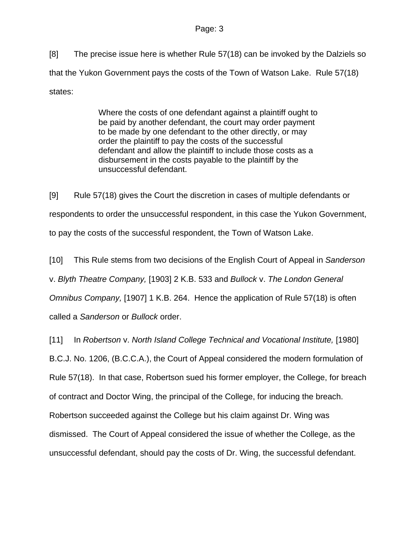[8] The precise issue here is whether Rule 57(18) can be invoked by the Dalziels so that the Yukon Government pays the costs of the Town of Watson Lake. Rule 57(18) states:

> Where the costs of one defendant against a plaintiff ought to be paid by another defendant, the court may order payment to be made by one defendant to the other directly, or may order the plaintiff to pay the costs of the successful defendant and allow the plaintiff to include those costs as a disbursement in the costs payable to the plaintiff by the unsuccessful defendant.

[9] Rule 57(18) gives the Court the discretion in cases of multiple defendants or respondents to order the unsuccessful respondent, in this case the Yukon Government, to pay the costs of the successful respondent, the Town of Watson Lake.

[10] This Rule stems from two decisions of the English Court of Appeal in *Sanderson*  v. *Blyth Theatre Company,* [1903] 2 K.B. 533 and *Bullock* v. *The London General Omnibus Company,* [1907] 1 K.B. 264. Hence the application of Rule 57(18) is often called a *Sanderson* or *Bullock* order.

[11] In *Robertson* v. *North Island College Technical and Vocational Institute,* [1980]

B.C.J. No. 1206, (B.C.C.A.), the Court of Appeal considered the modern formulation of

Rule 57(18). In that case, Robertson sued his former employer, the College, for breach

of contract and Doctor Wing, the principal of the College, for inducing the breach.

Robertson succeeded against the College but his claim against Dr. Wing was

dismissed. The Court of Appeal considered the issue of whether the College, as the

unsuccessful defendant, should pay the costs of Dr. Wing, the successful defendant.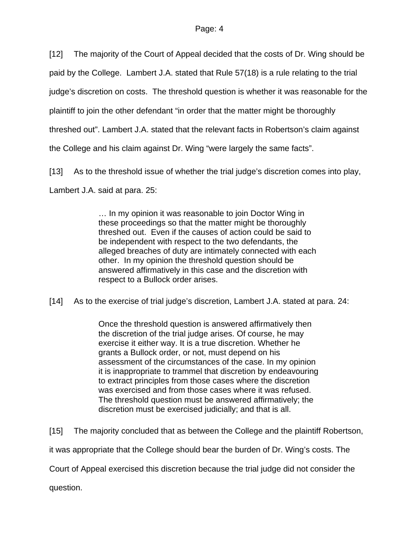[12] The majority of the Court of Appeal decided that the costs of Dr. Wing should be

paid by the College. Lambert J.A. stated that Rule 57(18) is a rule relating to the trial

judge's discretion on costs. The threshold question is whether it was reasonable for the

plaintiff to join the other defendant "in order that the matter might be thoroughly

threshed out". Lambert J.A. stated that the relevant facts in Robertson's claim against

the College and his claim against Dr. Wing "were largely the same facts".

[13] As to the threshold issue of whether the trial judge's discretion comes into play,

Lambert J.A. said at para. 25:

… In my opinion it was reasonable to join Doctor Wing in these proceedings so that the matter might be thoroughly threshed out. Even if the causes of action could be said to be independent with respect to the two defendants, the alleged breaches of duty are intimately connected with each other. In my opinion the threshold question should be answered affirmatively in this case and the discretion with respect to a Bullock order arises.

[14] As to the exercise of trial judge's discretion, Lambert J.A. stated at para. 24:

Once the threshold question is answered affirmatively then the discretion of the trial judge arises. Of course, he may exercise it either way. It is a true discretion. Whether he grants a Bullock order, or not, must depend on his assessment of the circumstances of the case. In my opinion it is inappropriate to trammel that discretion by endeavouring to extract principles from those cases where the discretion was exercised and from those cases where it was refused. The threshold question must be answered affirmatively; the discretion must be exercised judicially; and that is all.

[15] The majority concluded that as between the College and the plaintiff Robertson,

it was appropriate that the College should bear the burden of Dr. Wing's costs. The

Court of Appeal exercised this discretion because the trial judge did not consider the

question.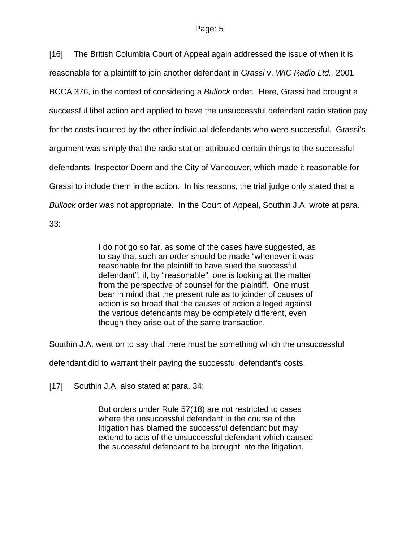[16] The British Columbia Court of Appeal again addressed the issue of when it is reasonable for a plaintiff to join another defendant in *Grassi* v. *WIC Radio Ltd.,* 2001 BCCA 376, in the context of considering a *Bullock* order. Here, Grassi had brought a successful libel action and applied to have the unsuccessful defendant radio station pay for the costs incurred by the other individual defendants who were successful. Grassi's argument was simply that the radio station attributed certain things to the successful defendants, Inspector Doern and the City of Vancouver, which made it reasonable for Grassi to include them in the action. In his reasons, the trial judge only stated that a *Bullock* order was not appropriate. In the Court of Appeal, Southin J.A. wrote at para. 33:

> I do not go so far, as some of the cases have suggested, as to say that such an order should be made "whenever it was reasonable for the plaintiff to have sued the successful defendant", if, by "reasonable", one is looking at the matter from the perspective of counsel for the plaintiff. One must bear in mind that the present rule as to joinder of causes of action is so broad that the causes of action alleged against the various defendants may be completely different, even though they arise out of the same transaction.

Southin J.A. went on to say that there must be something which the unsuccessful

defendant did to warrant their paying the successful defendant's costs.

[17] Southin J.A. also stated at para. 34:

But orders under Rule 57(18) are not restricted to cases where the unsuccessful defendant in the course of the litigation has blamed the successful defendant but may extend to acts of the unsuccessful defendant which caused the successful defendant to be brought into the litigation.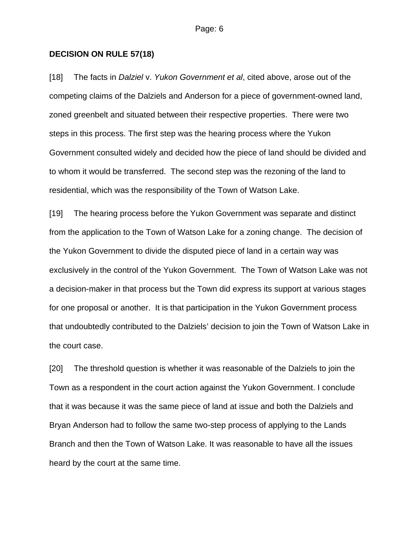#### **DECISION ON RULE 57(18)**

[18] The facts in *Dalziel* v. *Yukon Government et al*, cited above, arose out of the competing claims of the Dalziels and Anderson for a piece of government-owned land, zoned greenbelt and situated between their respective properties. There were two steps in this process. The first step was the hearing process where the Yukon Government consulted widely and decided how the piece of land should be divided and to whom it would be transferred. The second step was the rezoning of the land to residential, which was the responsibility of the Town of Watson Lake.

[19] The hearing process before the Yukon Government was separate and distinct from the application to the Town of Watson Lake for a zoning change. The decision of the Yukon Government to divide the disputed piece of land in a certain way was exclusively in the control of the Yukon Government. The Town of Watson Lake was not a decision-maker in that process but the Town did express its support at various stages for one proposal or another. It is that participation in the Yukon Government process that undoubtedly contributed to the Dalziels' decision to join the Town of Watson Lake in the court case.

[20] The threshold question is whether it was reasonable of the Dalziels to join the Town as a respondent in the court action against the Yukon Government. I conclude that it was because it was the same piece of land at issue and both the Dalziels and Bryan Anderson had to follow the same two-step process of applying to the Lands Branch and then the Town of Watson Lake. It was reasonable to have all the issues heard by the court at the same time.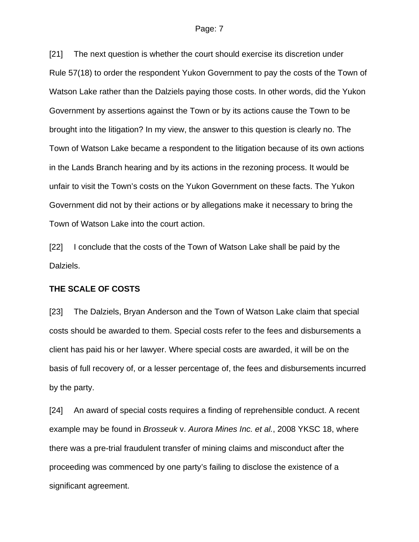#### Page: 7

[21] The next question is whether the court should exercise its discretion under Rule 57(18) to order the respondent Yukon Government to pay the costs of the Town of Watson Lake rather than the Dalziels paying those costs. In other words, did the Yukon Government by assertions against the Town or by its actions cause the Town to be brought into the litigation? In my view, the answer to this question is clearly no. The Town of Watson Lake became a respondent to the litigation because of its own actions in the Lands Branch hearing and by its actions in the rezoning process. It would be unfair to visit the Town's costs on the Yukon Government on these facts. The Yukon Government did not by their actions or by allegations make it necessary to bring the Town of Watson Lake into the court action.

[22] I conclude that the costs of the Town of Watson Lake shall be paid by the Dalziels.

#### **THE SCALE OF COSTS**

[23] The Dalziels, Bryan Anderson and the Town of Watson Lake claim that special costs should be awarded to them. Special costs refer to the fees and disbursements a client has paid his or her lawyer. Where special costs are awarded, it will be on the basis of full recovery of, or a lesser percentage of, the fees and disbursements incurred by the party.

[24] An award of special costs requires a finding of reprehensible conduct. A recent example may be found in *Brosseuk* v. *Aurora Mines Inc. et al.*, 2008 YKSC 18, where there was a pre-trial fraudulent transfer of mining claims and misconduct after the proceeding was commenced by one party's failing to disclose the existence of a significant agreement.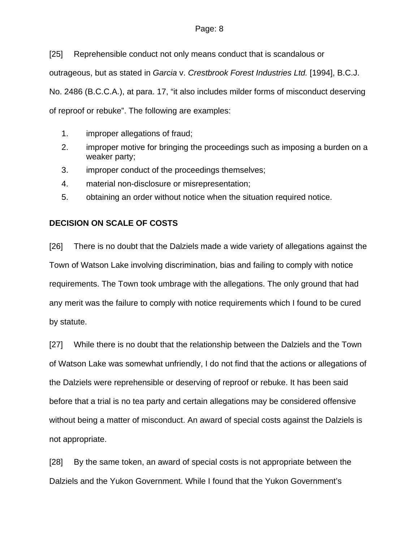### Page: 8

[25] Reprehensible conduct not only means conduct that is scandalous or outrageous, but as stated in *Garcia* v. *Crestbrook Forest Industries Ltd.* [1994], B.C.J. No. 2486 (B.C.C.A.), at para. 17, "it also includes milder forms of misconduct deserving of reproof or rebuke". The following are examples:

- 1. improper allegations of fraud;
- 2. improper motive for bringing the proceedings such as imposing a burden on a weaker party;
- 3. improper conduct of the proceedings themselves;
- 4. material non-disclosure or misrepresentation;
- 5. obtaining an order without notice when the situation required notice.

## **DECISION ON SCALE OF COSTS**

[26] There is no doubt that the Dalziels made a wide variety of allegations against the Town of Watson Lake involving discrimination, bias and failing to comply with notice requirements. The Town took umbrage with the allegations. The only ground that had any merit was the failure to comply with notice requirements which I found to be cured by statute.

[27] While there is no doubt that the relationship between the Dalziels and the Town of Watson Lake was somewhat unfriendly, I do not find that the actions or allegations of the Dalziels were reprehensible or deserving of reproof or rebuke. It has been said before that a trial is no tea party and certain allegations may be considered offensive without being a matter of misconduct. An award of special costs against the Dalziels is not appropriate.

[28] By the same token, an award of special costs is not appropriate between the Dalziels and the Yukon Government. While I found that the Yukon Government's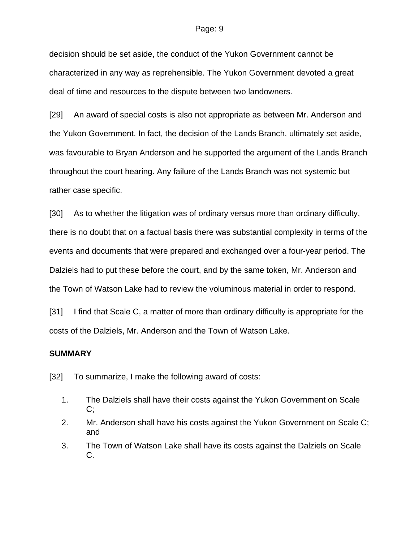#### Page: 9

decision should be set aside, the conduct of the Yukon Government cannot be characterized in any way as reprehensible. The Yukon Government devoted a great deal of time and resources to the dispute between two landowners.

[29] An award of special costs is also not appropriate as between Mr. Anderson and the Yukon Government. In fact, the decision of the Lands Branch, ultimately set aside, was favourable to Bryan Anderson and he supported the argument of the Lands Branch throughout the court hearing. Any failure of the Lands Branch was not systemic but rather case specific.

[30] As to whether the litigation was of ordinary versus more than ordinary difficulty, there is no doubt that on a factual basis there was substantial complexity in terms of the events and documents that were prepared and exchanged over a four-year period. The Dalziels had to put these before the court, and by the same token, Mr. Anderson and the Town of Watson Lake had to review the voluminous material in order to respond.

[31] I find that Scale C, a matter of more than ordinary difficulty is appropriate for the costs of the Dalziels, Mr. Anderson and the Town of Watson Lake.

### **SUMMARY**

[32] To summarize, I make the following award of costs:

- 1. The Dalziels shall have their costs against the Yukon Government on Scale C;
- 2. Mr. Anderson shall have his costs against the Yukon Government on Scale C; and
- 3. The Town of Watson Lake shall have its costs against the Dalziels on Scale C.